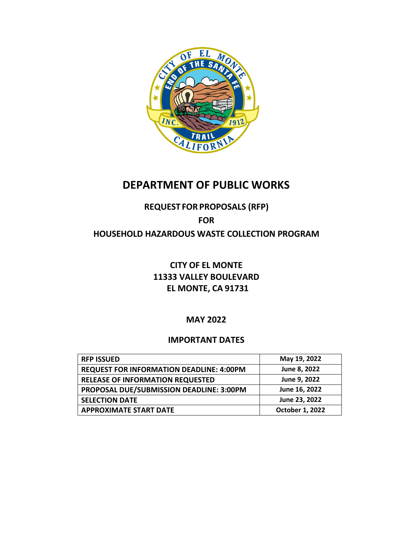

## **DEPARTMENT OF PUBLIC WORKS**

## **REQUEST FORPROPOSALS (RFP)**

# **FOR**

## **HOUSEHOLD HAZARDOUS WASTE COLLECTION PROGRAM**

## **CITY OF EL MONTE 11333 VALLEY BOULEVARD EL MONTE, CA 91731**

## **MAY 2022**

## **IMPORTANT DATES**

| <b>RFP ISSUED</b>                               | May 19, 2022    |
|-------------------------------------------------|-----------------|
| <b>REQUEST FOR INFORMATION DEADLINE: 4:00PM</b> | June 8, 2022    |
| <b>RELEASE OF INFORMATION REQUESTED</b>         | June 9, 2022    |
| PROPOSAL DUE/SUBMISSION DEADLINE: 3:00PM        | June 16, 2022   |
| <b>SELECTION DATE</b>                           | June 23, 2022   |
| <b>APPROXIMATE START DATE</b>                   | October 1, 2022 |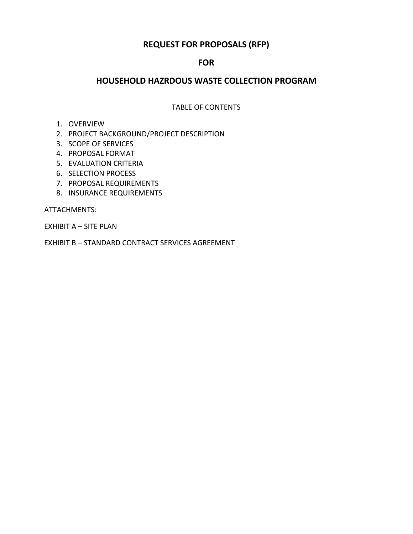### **REQUEST FOR PROPOSALS (RFP)**

### **FOR**

### **HOUSEHOLD HAZRDOUS WASTE COLLECTION PROGRAM**

#### TABLE OF CONTENTS

#### 1. OVERVIEW

- 2. PROJECT BACKGROUND/PROJECT DESCRIPTION
- 3. SCOPE OF SERVICES
- 4. PROPOSAL FORMAT
- 5. EVALUATION CRITERIA
- 6. SELECTION PROCESS
- 7. PROPOSAL REQUIREMENTS
- 8. INSURANCE REQUIREMENTS

ATTACHMENTS:

EXHIBIT A – SITE PLAN

EXHIBIT B – STANDARD CONTRACT SERVICES AGREEMENT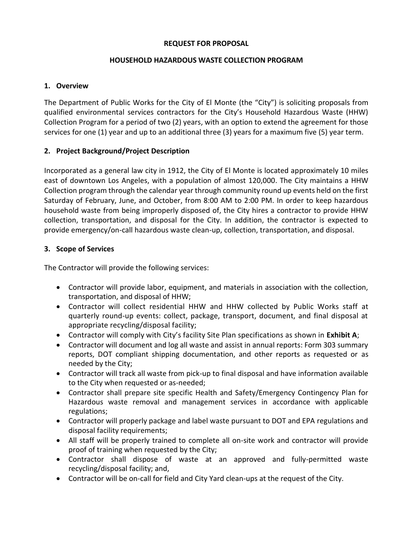#### **REQUEST FOR PROPOSAL**

#### **HOUSEHOLD HAZARDOUS WASTE COLLECTION PROGRAM**

#### **1. Overview**

The Department of Public Works for the City of El Monte (the "City") is soliciting proposals from qualified environmental services contractors for the City's Household Hazardous Waste (HHW) Collection Program for a period of two (2) years, with an option to extend the agreement for those services for one (1) year and up to an additional three (3) years for a maximum five (5) year term.

#### **2. Project Background/Project Description**

Incorporated as a general law city in 1912, the City of El Monte is located approximately 10 miles east of downtown Los Angeles, with a population of almost 120,000. The City maintains a HHW Collection program through the calendar year through community round up events held on the first Saturday of February, June, and October, from 8:00 AM to 2:00 PM. In order to keep hazardous household waste from being improperly disposed of, the City hires a contractor to provide HHW collection, transportation, and disposal for the City. In addition, the contractor is expected to provide emergency/on-call hazardous waste clean-up, collection, transportation, and disposal.

#### **3. Scope of Services**

The Contractor will provide the following services:

- Contractor will provide labor, equipment, and materials in association with the collection, transportation, and disposal of HHW;
- Contractor will collect residential HHW and HHW collected by Public Works staff at quarterly round-up events: collect, package, transport, document, and final disposal at appropriate recycling/disposal facility;
- Contractor will comply with City's facility Site Plan specifications as shown in **Exhibit A**;
- Contractor will document and log all waste and assist in annual reports: Form 303 summary reports, DOT compliant shipping documentation, and other reports as requested or as needed by the City;
- Contractor will track all waste from pick-up to final disposal and have information available to the City when requested or as-needed;
- Contractor shall prepare site specific Health and Safety/Emergency Contingency Plan for Hazardous waste removal and management services in accordance with applicable regulations;
- Contractor will properly package and label waste pursuant to DOT and EPA regulations and disposal facility requirements;
- All staff will be properly trained to complete all on-site work and contractor will provide proof of training when requested by the City;
- Contractor shall dispose of waste at an approved and fully-permitted waste recycling/disposal facility; and,
- Contractor will be on-call for field and City Yard clean-ups at the request of the City.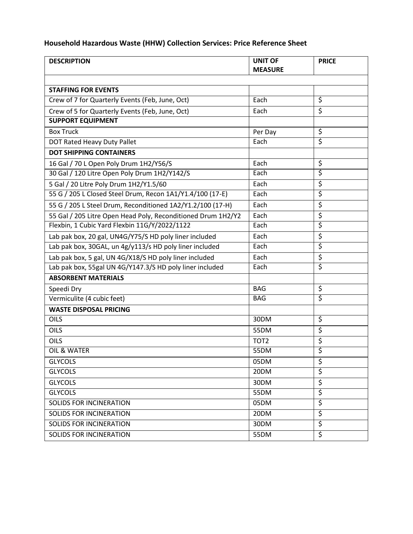## **Household Hazardous Waste (HHW) Collection Services: Price Reference Sheet**

| <b>DESCRIPTION</b>                                           | <b>UNIT OF</b><br><b>MEASURE</b> | <b>PRICE</b>           |  |
|--------------------------------------------------------------|----------------------------------|------------------------|--|
|                                                              |                                  |                        |  |
| <b>STAFFING FOR EVENTS</b>                                   |                                  |                        |  |
| Crew of 7 for Quarterly Events (Feb, June, Oct)              | Each                             | \$                     |  |
| Crew of 5 for Quarterly Events (Feb, June, Oct)              | Each                             | \$                     |  |
| <b>SUPPORT EQUIPMENT</b>                                     |                                  |                        |  |
| <b>Box Truck</b>                                             | Per Day                          | \$                     |  |
| DOT Rated Heavy Duty Pallet                                  | Each                             | Ś                      |  |
| <b>DOT SHIPPING CONTAINERS</b>                               |                                  |                        |  |
| 16 Gal / 70 L Open Poly Drum 1H2/Y56/S                       | Each                             | \$                     |  |
| 30 Gal / 120 Litre Open Poly Drum 1H2/Y142/S                 | Each                             | \$                     |  |
| 5 Gal / 20 Litre Poly Drum 1H2/Y1.5/60                       | Each                             | \$                     |  |
| 55 G / 205 L Closed Steel Drum, Recon 1A1/Y1.4/100 (17-E)    | Each                             | \$                     |  |
| 55 G / 205 L Steel Drum, Reconditioned 1A2/Y1.2/100 (17-H)   | Each                             | \$                     |  |
| 55 Gal / 205 Litre Open Head Poly, Reconditioned Drum 1H2/Y2 | Each                             | \$                     |  |
| Flexbin, 1 Cubic Yard Flexbin 11G/Y/2022/1122                | Each                             | \$                     |  |
| Lab pak box, 20 gal, UN4G/Y75/S HD poly liner included       | Each                             | \$                     |  |
| Lab pak box, 30GAL, un 4g/y113/s HD poly liner included      | Each                             | \$                     |  |
| Lab pak box, 5 gal, UN 4G/X18/S HD poly liner included       | Each                             | \$                     |  |
| Lab pak box, 55gal UN 4G/Y147.3/S HD poly liner included     | Each                             | \$                     |  |
| <b>ABSORBENT MATERIALS</b>                                   |                                  |                        |  |
| Speedi Dry                                                   | <b>BAG</b>                       | \$                     |  |
| Vermiculite (4 cubic feet)                                   | <b>BAG</b>                       | $\overline{\varsigma}$ |  |
| <b>WASTE DISPOSAL PRICING</b>                                |                                  |                        |  |
| OILS                                                         | 30DM                             | \$                     |  |
| <b>OILS</b>                                                  | 55DM                             | \$                     |  |
| <b>OILS</b>                                                  | TOT <sub>2</sub>                 | $\overline{\xi}$       |  |
| OIL & WATER                                                  | <b>55DM</b>                      | \$                     |  |
| <b>GLYCOLS</b>                                               | 05DM                             | \$                     |  |
| <b>GLYCOLS</b>                                               | 20DM                             | \$                     |  |
| <b>GLYCOLS</b>                                               | 30DM                             | \$                     |  |
| <b>GLYCOLS</b>                                               | 55DM                             | \$                     |  |
| <b>SOLIDS FOR INCINERATION</b>                               | 05DM                             | \$                     |  |
| SOLIDS FOR INCINERATION                                      | 20DM                             | \$                     |  |
| <b>SOLIDS FOR INCINERATION</b>                               | 30DM                             | \$                     |  |
| <b>SOLIDS FOR INCINERATION</b>                               | 55DM                             | \$                     |  |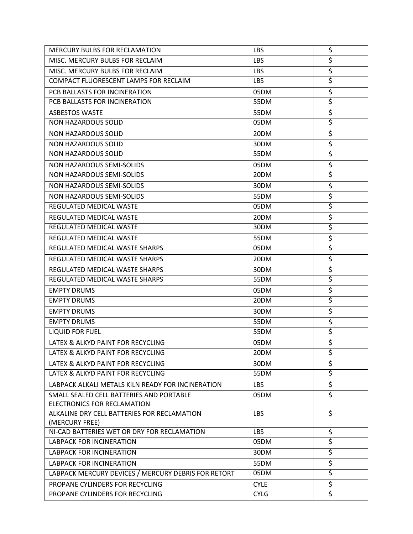| <b>MERCURY BULBS FOR RECLAMATION</b>                          | <b>LBS</b>  | \$                              |
|---------------------------------------------------------------|-------------|---------------------------------|
| MISC. MERCURY BULBS FOR RECLAIM                               | <b>LBS</b>  | \$                              |
| MISC. MERCURY BULBS FOR RECLAIM                               | <b>LBS</b>  | \$                              |
| COMPACT FLUORESCENT LAMPS FOR RECLAIM                         | <b>LBS</b>  | \$                              |
| PCB BALLASTS FOR INCINERATION                                 | 05DM        | \$                              |
| PCB BALLASTS FOR INCINERATION                                 | 55DM        | \$                              |
| <b>ASBESTOS WASTE</b>                                         | 55DM        | $\overline{\boldsymbol{\zeta}}$ |
| <b>NON HAZARDOUS SOLID</b>                                    | 05DM        | \$                              |
| <b>NON HAZARDOUS SOLID</b>                                    | 20DM        | \$                              |
| <b>NON HAZARDOUS SOLID</b>                                    | 30DM        | $\overline{\boldsymbol{\zeta}}$ |
| <b>NON HAZARDOUS SOLID</b>                                    | 55DM        | \$                              |
| <b>NON HAZARDOUS SEMI-SOLIDS</b>                              | 05DM        | \$                              |
| NON HAZARDOUS SEMI-SOLIDS                                     | 20DM        | \$                              |
| NON HAZARDOUS SEMI-SOLIDS                                     | 30DM        | $\overline{\xi}$                |
| NON HAZARDOUS SEMI-SOLIDS                                     | 55DM        | \$                              |
| <b>REGULATED MEDICAL WASTE</b>                                | 05DM        | \$                              |
| REGULATED MEDICAL WASTE                                       | 20DM        | $\overline{\boldsymbol{\zeta}}$ |
| REGULATED MEDICAL WASTE                                       | 30DM        | \$                              |
| REGULATED MEDICAL WASTE                                       | 55DM        | $\overline{\xi}$                |
| REGULATED MEDICAL WASTE SHARPS                                | 05DM        | $\overline{\boldsymbol{\zeta}}$ |
| REGULATED MEDICAL WASTE SHARPS                                | 20DM        | $\overline{\boldsymbol{\zeta}}$ |
| REGULATED MEDICAL WASTE SHARPS                                | 30DM        | \$                              |
| REGULATED MEDICAL WASTE SHARPS                                | 55DM        | \$                              |
| <b>EMPTY DRUMS</b>                                            | 05DM        | \$                              |
| <b>EMPTY DRUMS</b>                                            | 20DM        | \$                              |
| <b>EMPTY DRUMS</b>                                            | 30DM        | \$                              |
| <b>EMPTY DRUMS</b>                                            | 55DM        | $\overline{\boldsymbol{\zeta}}$ |
| <b>LIQUID FOR FUEL</b>                                        | 55DM        | \$                              |
| LATEX & ALKYD PAINT FOR RECYCLING                             | 05DM        | \$                              |
| LATEX & ALKYD PAINT FOR RECYCLING                             | 20DM        | \$                              |
| LATEX & ALKYD PAINT FOR RECYCLING                             | 30DM        | \$                              |
| LATEX & ALKYD PAINT FOR RECYCLING                             | 55DM        | \$                              |
| LABPACK ALKALI METALS KILN READY FOR INCINERATION             | LBS         | $\overline{\boldsymbol{\zeta}}$ |
| SMALL SEALED CELL BATTERIES AND PORTABLE                      | 05DM        | $\overline{\xi}$                |
| ELECTRONICS FOR RECLAMATION                                   |             |                                 |
| ALKALINE DRY CELL BATTERIES FOR RECLAMATION<br>(MERCURY FREE) | <b>LBS</b>  | \$                              |
| NI-CAD BATTERIES WET OR DRY FOR RECLAMATION                   | LBS         | \$                              |
| <b>LABPACK FOR INCINERATION</b>                               | 05DM        | \$                              |
| <b>LABPACK FOR INCINERATION</b>                               | 30DM        | \$                              |
| <b>LABPACK FOR INCINERATION</b>                               | 55DM        | \$                              |
| LABPACK MERCURY DEVICES / MERCURY DEBRIS FOR RETORT           | 05DM        | \$                              |
| PROPANE CYLINDERS FOR RECYCLING                               | <b>CYLE</b> | $\overline{\xi}$                |
| PROPANE CYLINDERS FOR RECYCLING                               | <b>CYLG</b> | \$                              |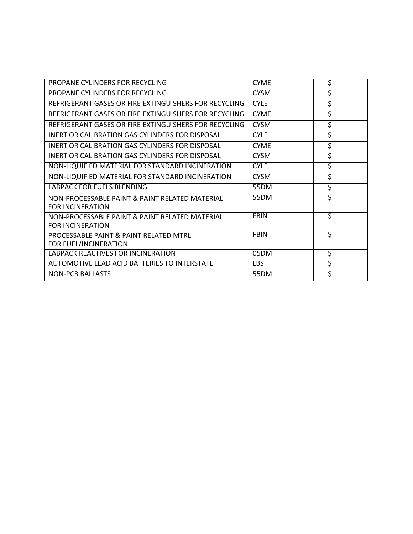| PROPANE CYLINDERS FOR RECYCLING                                           | <b>CYME</b> | \$ |
|---------------------------------------------------------------------------|-------------|----|
| PROPANE CYLINDERS FOR RECYCLING                                           | <b>CYSM</b> | \$ |
| REFRIGERANT GASES OR FIRE EXTINGUISHERS FOR RECYCLING                     | <b>CYLE</b> | \$ |
| REFRIGERANT GASES OR FIRE EXTINGUISHERS FOR RECYCLING                     | <b>CYME</b> | \$ |
| REFRIGERANT GASES OR FIRE EXTINGUISHERS FOR RECYCLING                     | <b>CYSM</b> | \$ |
| <b>INERT OR CALIBRATION GAS CYLINDERS FOR DISPOSAL</b>                    | <b>CYLE</b> | \$ |
| <b>INERT OR CALIBRATION GAS CYLINDERS FOR DISPOSAL</b>                    | <b>CYME</b> | \$ |
| INERT OR CALIBRATION GAS CYLINDERS FOR DISPOSAL                           | <b>CYSM</b> | \$ |
| NON-LIQUIFIED MATERIAL FOR STANDARD INCINERATION                          | <b>CYLE</b> | \$ |
| NON-LIQUIFIED MATERIAL FOR STANDARD INCINERATION                          | <b>CYSM</b> | \$ |
| <b>LABPACK FOR FUELS BLENDING</b>                                         | 55DM        | \$ |
| NON-PROCESSABLE PAINT & PAINT RELATED MATERIAL<br><b>FOR INCINERATION</b> | <b>55DM</b> | \$ |
| NON-PROCESSABLE PAINT & PAINT RELATED MATERIAL<br><b>FOR INCINERATION</b> | <b>FBIN</b> | \$ |
| PROCESSABLE PAINT & PAINT RELATED MTRL                                    | <b>FBIN</b> | \$ |
| FOR FUEL/INCINERATION                                                     |             |    |
| LABPACK REACTIVES FOR INCINERATION                                        | 05DM        | \$ |
| AUTOMOTIVE LEAD ACID BATTERIES TO INTERSTATE                              | LBS.        | \$ |
| <b>NON-PCB BALLASTS</b>                                                   | 55DM        | \$ |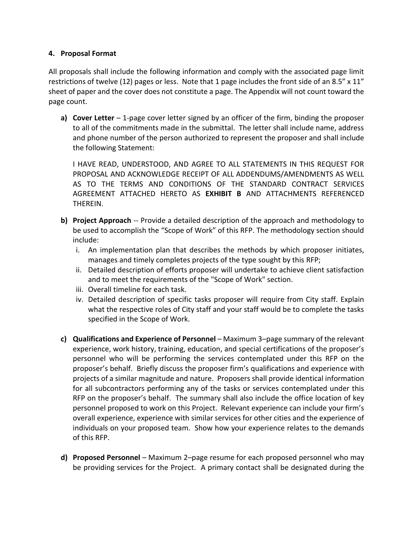#### **4. Proposal Format**

All proposals shall include the following information and comply with the associated page limit restrictions of twelve (12) pages or less. Note that 1 page includes the front side of an 8.5" x 11" sheet of paper and the cover does not constitute a page. The Appendix will not count toward the page count.

**a) Cover Letter** – 1-page cover letter signed by an officer of the firm, binding the proposer to all of the commitments made in the submittal. The letter shall include name, address and phone number of the person authorized to represent the proposer and shall include the following Statement:

I HAVE READ, UNDERSTOOD, AND AGREE TO ALL STATEMENTS IN THIS REQUEST FOR PROPOSAL AND ACKNOWLEDGE RECEIPT OF ALL ADDENDUMS/AMENDMENTS AS WELL AS TO THE TERMS AND CONDITIONS OF THE STANDARD CONTRACT SERVICES AGREEMENT ATTACHED HERETO AS **EXHIBIT B** AND ATTACHMENTS REFERENCED THEREIN.

- **b) Project Approach** -- Provide a detailed description of the approach and methodology to be used to accomplish the "Scope of Work" of this RFP. The methodology section should include:
	- i. An implementation plan that describes the methods by which proposer initiates, manages and timely completes projects of the type sought by this RFP;
	- ii. Detailed description of efforts proposer will undertake to achieve client satisfaction and to meet the requirements of the "Scope of Work" section.
	- iii. Overall timeline for each task.
	- iv. Detailed description of specific tasks proposer will require from City staff. Explain what the respective roles of City staff and your staff would be to complete the tasks specified in the Scope of Work.
- **c) Qualifications and Experience of Personnel** Maximum 3–page summary of the relevant experience, work history, training, education, and special certifications of the proposer's personnel who will be performing the services contemplated under this RFP on the proposer's behalf. Briefly discuss the proposer firm's qualifications and experience with projects of a similar magnitude and nature. Proposers shall provide identical information for all subcontractors performing any of the tasks or services contemplated under this RFP on the proposer's behalf. The summary shall also include the office location of key personnel proposed to work on this Project. Relevant experience can include your firm's overall experience, experience with similar services for other cities and the experience of individuals on your proposed team. Show how your experience relates to the demands of this RFP.
- **d) Proposed Personnel**  Maximum 2–page resume for each proposed personnel who may be providing services for the Project. A primary contact shall be designated during the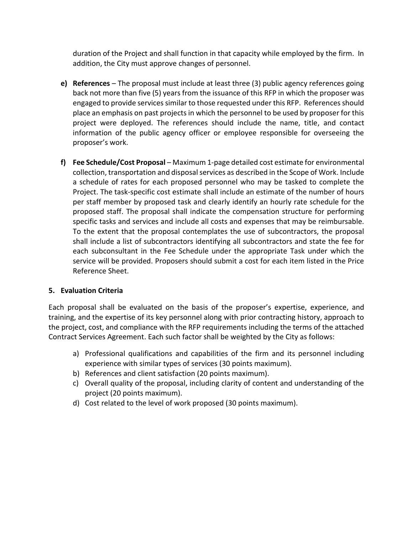duration of the Project and shall function in that capacity while employed by the firm. In addition, the City must approve changes of personnel.

- **e) References**  The proposal must include at least three (3) public agency references going back not more than five (5) years from the issuance of this RFP in which the proposer was engaged to provide services similar to those requested under this RFP. References should place an emphasis on past projects in which the personnel to be used by proposer for this project were deployed. The references should include the name, title, and contact information of the public agency officer or employee responsible for overseeing the proposer's work.
- **f) Fee Schedule/Cost Proposal** Maximum 1-page detailed cost estimate for environmental collection, transportation and disposal services as described in the Scope of Work. Include a schedule of rates for each proposed personnel who may be tasked to complete the Project. The task-specific cost estimate shall include an estimate of the number of hours per staff member by proposed task and clearly identify an hourly rate schedule for the proposed staff. The proposal shall indicate the compensation structure for performing specific tasks and services and include all costs and expenses that may be reimbursable. To the extent that the proposal contemplates the use of subcontractors, the proposal shall include a list of subcontractors identifying all subcontractors and state the fee for each subconsultant in the Fee Schedule under the appropriate Task under which the service will be provided. Proposers should submit a cost for each item listed in the Price Reference Sheet.

#### **5. Evaluation Criteria**

Each proposal shall be evaluated on the basis of the proposer's expertise, experience, and training, and the expertise of its key personnel along with prior contracting history, approach to the project, cost, and compliance with the RFP requirements including the terms of the attached Contract Services Agreement. Each such factor shall be weighted by the City as follows:

- a) Professional qualifications and capabilities of the firm and its personnel including experience with similar types of services (30 points maximum).
- b) References and client satisfaction (20 points maximum).
- c) Overall quality of the proposal, including clarity of content and understanding of the project (20 points maximum).
- d) Cost related to the level of work proposed (30 points maximum).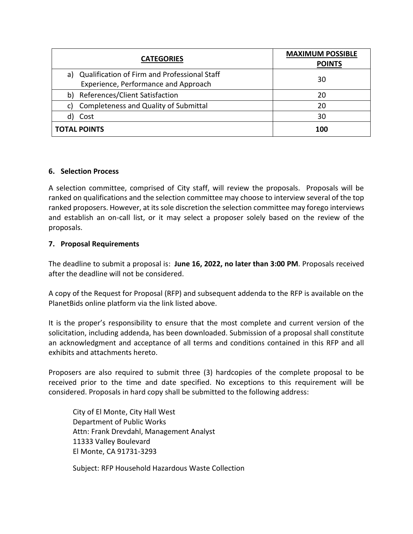| <b>CATEGORIES</b>                                                                          | <b>MAXIMUM POSSIBLE</b><br><b>POINTS</b> |
|--------------------------------------------------------------------------------------------|------------------------------------------|
| Qualification of Firm and Professional Staff<br>a)<br>Experience, Performance and Approach | 30                                       |
| References/Client Satisfaction<br>b)                                                       | 20                                       |
| <b>Completeness and Quality of Submittal</b><br>C)                                         | 20                                       |
| Cost<br>d)                                                                                 | 30                                       |
| <b>TOTAL POINTS</b>                                                                        | 100                                      |

#### **6. Selection Process**

A selection committee, comprised of City staff, will review the proposals. Proposals will be ranked on qualifications and the selection committee may choose to interview several of the top ranked proposers. However, at its sole discretion the selection committee may forego interviews and establish an on-call list, or it may select a proposer solely based on the review of the proposals.

#### **7. Proposal Requirements**

The deadline to submit a proposal is: **June 16, 2022, no later than 3:00 PM**. Proposals received after the deadline will not be considered.

A copy of the Request for Proposal (RFP) and subsequent addenda to the RFP is available on the PlanetBids online platform via the link listed above.

It is the proper's responsibility to ensure that the most complete and current version of the solicitation, including addenda, has been downloaded. Submission of a proposal shall constitute an acknowledgment and acceptance of all terms and conditions contained in this RFP and all exhibits and attachments hereto.

Proposers are also required to submit three (3) hardcopies of the complete proposal to be received prior to the time and date specified. No exceptions to this requirement will be considered. Proposals in hard copy shall be submitted to the following address:

City of El Monte, City Hall West Department of Public Works Attn: Frank Drevdahl, Management Analyst 11333 Valley Boulevard El Monte, CA 91731-3293

Subject: RFP Household Hazardous Waste Collection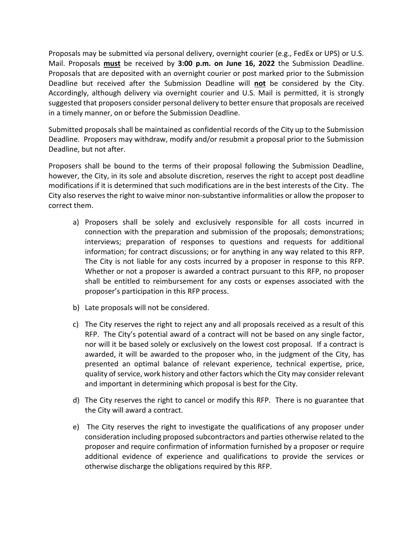Proposals may be submitted via personal delivery, overnight courier (e.g., FedEx or UPS) or U.S. Mail. Proposals **must** be received by **3:00 p.m. on June 16, 2022** the Submission Deadline. Proposals that are deposited with an overnight courier or post marked prior to the Submission Deadline but received after the Submission Deadline will **not** be considered by the City. Accordingly, although delivery via overnight courier and U.S. Mail is permitted, it is strongly suggested that proposers consider personal delivery to better ensure that proposals are received in a timely manner, on or before the Submission Deadline.

Submitted proposals shall be maintained as confidential records of the City up to the Submission Deadline. Proposers may withdraw, modify and/or resubmit a proposal prior to the Submission Deadline, but not after.

Proposers shall be bound to the terms of their proposal following the Submission Deadline, however, the City, in its sole and absolute discretion, reserves the right to accept post deadline modifications if it is determined that such modifications are in the best interests of the City. The City also reserves the right to waive minor non-substantive informalities or allow the proposer to correct them.

- a) Proposers shall be solely and exclusively responsible for all costs incurred in connection with the preparation and submission of the proposals; demonstrations; interviews; preparation of responses to questions and requests for additional information; for contract discussions; or for anything in any way related to this RFP. The City is not liable for any costs incurred by a proposer in response to this RFP. Whether or not a proposer is awarded a contract pursuant to this RFP, no proposer shall be entitled to reimbursement for any costs or expenses associated with the proposer's participation in this RFP process.
- b) Late proposals will not be considered.
- c) The City reserves the right to reject any and all proposals received as a result of this RFP. The City's potential award of a contract will not be based on any single factor, nor will it be based solely or exclusively on the lowest cost proposal. If a contract is awarded, it will be awarded to the proposer who, in the judgment of the City, has presented an optimal balance of relevant experience, technical expertise, price, quality of service, work history and other factors which the City may consider relevant and important in determining which proposal is best for the City.
- d) The City reserves the right to cancel or modify this RFP. There is no guarantee that the City will award a contract.
- e) The City reserves the right to investigate the qualifications of any proposer under consideration including proposed subcontractors and parties otherwise related to the proposer and require confirmation of information furnished by a proposer or require additional evidence of experience and qualifications to provide the services or otherwise discharge the obligations required by this RFP.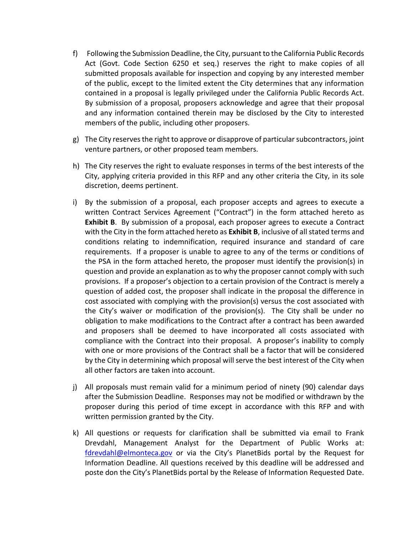- f) Following the Submission Deadline, the City, pursuant to the California Public Records Act (Govt. Code Section 6250 et seq.) reserves the right to make copies of all submitted proposals available for inspection and copying by any interested member of the public, except to the limited extent the City determines that any information contained in a proposal is legally privileged under the California Public Records Act. By submission of a proposal, proposers acknowledge and agree that their proposal and any information contained therein may be disclosed by the City to interested members of the public, including other proposers.
- g) The City reserves the right to approve or disapprove of particular subcontractors, joint venture partners, or other proposed team members.
- h) The City reserves the right to evaluate responses in terms of the best interests of the City, applying criteria provided in this RFP and any other criteria the City, in its sole discretion, deems pertinent.
- i) By the submission of a proposal, each proposer accepts and agrees to execute a written Contract Services Agreement ("Contract") in the form attached hereto as **Exhibit B**. By submission of a proposal, each proposer agrees to execute a Contract with the City in the form attached hereto as **Exhibit B**, inclusive of all stated terms and conditions relating to indemnification, required insurance and standard of care requirements. If a proposer is unable to agree to any of the terms or conditions of the PSA in the form attached hereto, the proposer must identify the provision(s) in question and provide an explanation as to why the proposer cannot comply with such provisions. If a proposer's objection to a certain provision of the Contract is merely a question of added cost, the proposer shall indicate in the proposal the difference in cost associated with complying with the provision(s) versus the cost associated with the City's waiver or modification of the provision(s). The City shall be under no obligation to make modifications to the Contract after a contract has been awarded and proposers shall be deemed to have incorporated all costs associated with compliance with the Contract into their proposal. A proposer's inability to comply with one or more provisions of the Contract shall be a factor that will be considered by the City in determining which proposal will serve the best interest of the City when all other factors are taken into account.
- j) All proposals must remain valid for a minimum period of ninety (90) calendar days after the Submission Deadline. Responses may not be modified or withdrawn by the proposer during this period of time except in accordance with this RFP and with written permission granted by the City.
- k) All questions or requests for clarification shall be submitted via email to Frank Drevdahl, Management Analyst for the Department of Public Works at: [fdrevdahl@elmonteca.gov](mailto:fdrevdahl@elmonteca.gov) or via the City's PlanetBids portal by the Request for Information Deadline. All questions received by this deadline will be addressed and poste don the City's PlanetBids portal by the Release of Information Requested Date.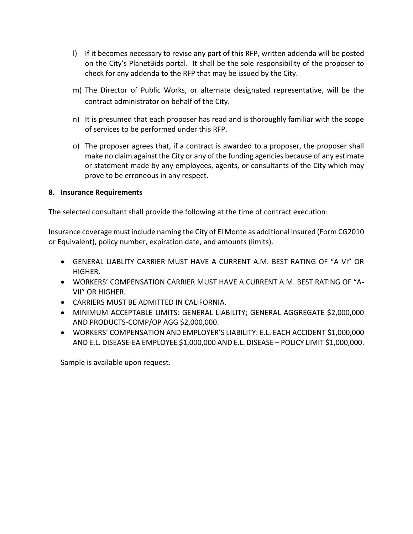- l) If it becomes necessary to revise any part of this RFP, written addenda will be posted on the City's PlanetBids portal. It shall be the sole responsibility of the proposer to check for any addenda to the RFP that may be issued by the City.
- m) The Director of Public Works, or alternate designated representative, will be the contract administrator on behalf of the City.
- n) It is presumed that each proposer has read and is thoroughly familiar with the scope of services to be performed under this RFP.
- o) The proposer agrees that, if a contract is awarded to a proposer, the proposer shall make no claim against the City or any of the funding agencies because of any estimate or statement made by any employees, agents, or consultants of the City which may prove to be erroneous in any respect.

#### **8. Insurance Requirements**

The selected consultant shall provide the following at the time of contract execution:

Insurance coverage must include naming the City of El Monte as additional insured (Form CG2010 or Equivalent), policy number, expiration date, and amounts (limits).

- GENERAL LIABLITY CARRIER MUST HAVE A CURRENT A.M. BEST RATING OF "A VI" OR HIGHER.
- WORKERS' COMPENSATION CARRIER MUST HAVE A CURRENT A.M. BEST RATING OF "A-VII" OR HIGHER.
- CARRIERS MUST BE ADMITTED IN CALIFORNIA.
- MINIMUM ACCEPTABLE LIMITS: GENERAL LIABILITY; GENERAL AGGREGATE \$2,000,000 AND PRODUCTS-COMP/OP AGG \$2,000,000.
- WORKERS' COMPENSATION AND EMPLOYER'S LIABILITY: E.L. EACH ACCIDENT \$1,000,000 AND E.L. DISEASE-EA EMPLOYEE \$1,000,000 AND E.L. DISEASE – POLICY LIMIT \$1,000,000.

Sample is available upon request.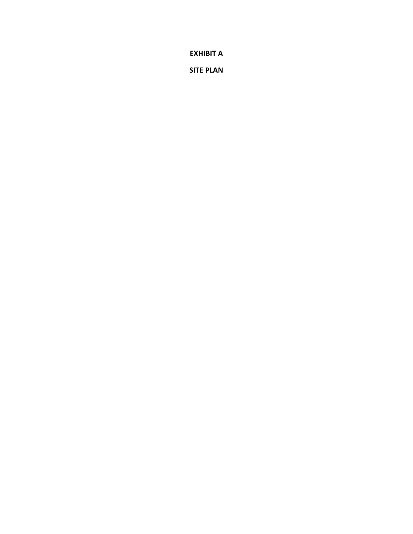**EXHIBIT A**

**SITE PLAN**